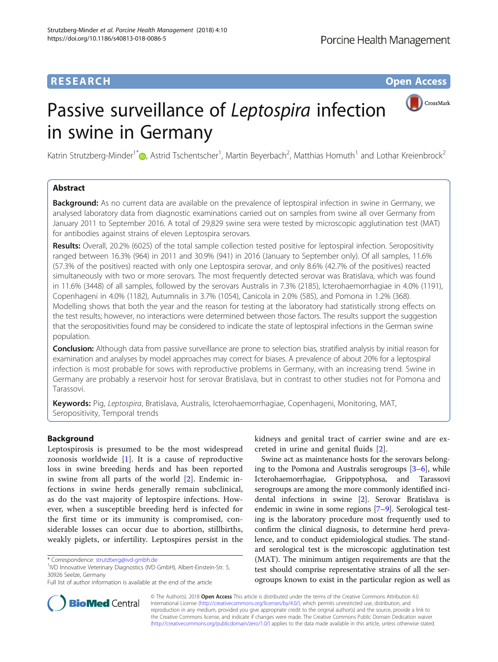# **RESEARCH CHINESE ARCH CHINESE ARCHITECT ARCHITECT ARCHITECT ARCHITECT ARCHITECT ARCHITECT ARCHITECT ARCHITECT ARCHITECT ARCHITECT ARCHITECT ARCHITECT ARCHITECT ARCHITECT ARCHITECT ARCHITECT ARCHITECT ARCHITECT ARCHITECT**

CrossMark

# Passive surveillance of Leptospira infection in swine in Germany

Katrin Strutzberg-Minder<sup>1\*</sup>�[,](http://orcid.org/0000-0002-2810-5037) Astrid Tschentscher<sup>1</sup>, Martin Beyerbach<sup>2</sup>, Matthias Homuth<sup>1</sup> and Lothar Kreienbrock<sup>2</sup>

# Abstract

Background: As no current data are available on the prevalence of leptospiral infection in swine in Germany, we analysed laboratory data from diagnostic examinations carried out on samples from swine all over Germany from January 2011 to September 2016. A total of 29,829 swine sera were tested by microscopic agglutination test (MAT) for antibodies against strains of eleven Leptospira serovars.

Results: Overall, 20.2% (6025) of the total sample collection tested positive for leptospiral infection. Seropositivity ranged between 16.3% (964) in 2011 and 30.9% (941) in 2016 (January to September only). Of all samples, 11.6% (57.3% of the positives) reacted with only one Leptospira serovar, and only 8.6% (42.7% of the positives) reacted simultaneously with two or more serovars. The most frequently detected serovar was Bratislava, which was found in 11.6% (3448) of all samples, followed by the serovars Australis in 7.3% (2185), Icterohaemorrhagiae in 4.0% (1191), Copenhageni in 4.0% (1182), Autumnalis in 3.7% (1054), Canicola in 2.0% (585), and Pomona in 1.2% (368). Modelling shows that both the year and the reason for testing at the laboratory had statistically strong effects on the test results; however, no interactions were determined between those factors. The results support the suggestion that the seropositivities found may be considered to indicate the state of leptospiral infections in the German swine population.

Conclusion: Although data from passive surveillance are prone to selection bias, stratified analysis by initial reason for examination and analyses by model approaches may correct for biases. A prevalence of about 20% for a leptospiral infection is most probable for sows with reproductive problems in Germany, with an increasing trend. Swine in Germany are probably a reservoir host for serovar Bratislava, but in contrast to other studies not for Pomona and Tarassovi.

Keywords: Pig, Leptospira, Bratislava, Australis, Icterohaemorrhagiae, Copenhageni, Monitoring, MAT, Seropositivity, Temporal trends

# Background

Leptospirosis is presumed to be the most widespread zoonosis worldwide  $[1]$  $[1]$  $[1]$ . It is a cause of reproductive loss in swine breeding herds and has been reported in swine from all parts of the world [\[2](#page-7-0)]. Endemic infections in swine herds generally remain subclinical, as do the vast majority of leptospire infections. However, when a susceptible breeding herd is infected for the first time or its immunity is compromised, considerable losses can occur due to abortion, stillbirths, weakly piglets, or infertility. Leptospires persist in the

 $1$ IVD Innovative Veterinary Diagnostics (IVD GmbH), Albert-Einstein-Str. 5, 30926 Seelze, Germany

kidneys and genital tract of carrier swine and are excreted in urine and genital fluids [\[2](#page-7-0)].

Swine act as maintenance hosts for the serovars belonging to the Pomona and Australis serogroups [\[3](#page-7-0)–[6\]](#page-7-0), while Icterohaemorrhagiae, Grippotyphosa, and Tarassovi serogroups are among the more commonly identified incidental infections in swine [[2](#page-7-0)]. Serovar Bratislava is endemic in swine in some regions [\[7](#page-7-0)–[9\]](#page-7-0). Serological testing is the laboratory procedure most frequently used to confirm the clinical diagnosis, to determine herd prevalence, and to conduct epidemiological studies. The standard serological test is the microscopic agglutination test (MAT). The minimum antigen requirements are that the test should comprise representative strains of all the serogroups known to exist in the particular region as well as



© The Author(s). 2018 Open Access This article is distributed under the terms of the Creative Commons Attribution 4.0 International License [\(http://creativecommons.org/licenses/by/4.0/](http://creativecommons.org/licenses/by/4.0/)), which permits unrestricted use, distribution, and reproduction in any medium, provided you give appropriate credit to the original author(s) and the source, provide a link to the Creative Commons license, and indicate if changes were made. The Creative Commons Public Domain Dedication waiver [\(http://creativecommons.org/publicdomain/zero/1.0/](http://creativecommons.org/publicdomain/zero/1.0/)) applies to the data made available in this article, unless otherwise stated.

<sup>\*</sup> Correspondence: [strutzberg@ivd-gmbh.de](mailto:strutzberg@ivd-gmbh.de) <sup>1</sup>

Full list of author information is available at the end of the article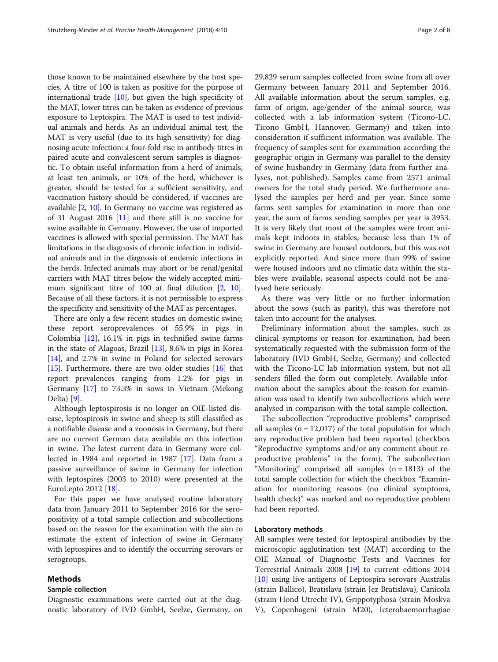those known to be maintained elsewhere by the host species. A titre of 100 is taken as positive for the purpose of international trade [\[10](#page-7-0)], but given the high specificity of the MAT, lower titres can be taken as evidence of previous exposure to Leptospira. The MAT is used to test individual animals and herds. As an individual animal test, the MAT is very useful (due to its high sensitivity) for diagnosing acute infection: a four-fold rise in antibody titres in paired acute and convalescent serum samples is diagnostic. To obtain useful information from a herd of animals, at least ten animals, or 10% of the herd, whichever is greater, should be tested for a sufficient sensitivity, and vaccination history should be considered, if vaccines are available [[2,](#page-7-0) [10](#page-7-0)]. In Germany no vaccine was registered as of 31 August 2016 [[11](#page-7-0)] and there still is no vaccine for swine available in Germany. However, the use of imported vaccines is allowed with special permission. The MAT has limitations in the diagnosis of chronic infection in individual animals and in the diagnosis of endemic infections in the herds. Infected animals may abort or be renal/genital carriers with MAT titres below the widely accepted mini-mum significant titre of 100 at final dilution [\[2,](#page-7-0) [10](#page-7-0)]. Because of all these factors, it is not permissible to express the specificity and sensitivity of the MAT as percentages.

There are only a few recent studies on domestic swine; these report seroprevalences of 55.9% in pigs in Colombia [[12\]](#page-7-0), 16.1% in pigs in technified swine farms in the state of Alagoas, Brazil [\[13](#page-7-0)], 8.6% in pigs in Korea [[14\]](#page-7-0), and 2.7% in swine in Poland for selected serovars [[15\]](#page-7-0). Furthermore, there are two older studies [[16](#page-7-0)] that report prevalences ranging from 1.2% for pigs in Germany [[17\]](#page-7-0) to 73.3% in sows in Vietnam (Mekong Delta) [[9\]](#page-7-0).

Although leptospirosis is no longer an OIE-listed disease, leptospirosis in swine and sheep is still classified as a notifiable disease and a zoonosis in Germany, but there are no current German data available on this infection in swine. The latest current data in Germany were collected in 1984 and reported in 1987 [\[17](#page-7-0)]. Data from a passive surveillance of swine in Germany for infection with leptospires (2003 to 2010) were presented at the EuroLepto 2012 [\[18](#page-7-0)].

For this paper we have analysed routine laboratory data from January 2011 to September 2016 for the seropositivity of a total sample collection and subcollections based on the reason for the examination with the aim to estimate the extent of infection of swine in Germany with leptospires and to identify the occurring serovars or serogroups.

## Methods

## Sample collection

Diagnostic examinations were carried out at the diagnostic laboratory of IVD GmbH, Seelze, Germany, on 29,829 serum samples collected from swine from all over Germany between January 2011 and September 2016. All available information about the serum samples, e.g. farm of origin, age/gender of the animal source, was collected with a lab information system (Ticono-LC, Ticono GmbH, Hannover, Germany) and taken into consideration if sufficient information was available. The frequency of samples sent for examination according the geographic origin in Germany was parallel to the density of swine husbandry in Germany (data from further analyses, not published). Samples came from 2571 animal owners for the total study period. We furthermore analysed the samples per herd and per year. Since some farms sent samples for examination in more than one year, the sum of farms sending samples per year is 3953. It is very likely that most of the samples were from animals kept indoors in stables, because less than 1% of swine in Germany are housed outdoors, but this was not explicitly reported. And since more than 99% of swine were housed indoors and no climatic data within the stables were available, seasonal aspects could not be analysed here seriously.

As there was very little or no further information about the sows (such as parity), this was therefore not taken into account for the analyses.

Preliminary information about the samples, such as clinical symptoms or reason for examination, had been systematically requested with the submission form of the laboratory (IVD GmbH, Seelze, Germany) and collected with the Ticono-LC lab information system, but not all senders filled the form out completely. Available information about the samples about the reason for examination was used to identify two subcollections which were analysed in comparison with the total sample collection.

The subcollection "reproductive problems" comprised all samples  $(n = 12,017)$  of the total population for which any reproductive problem had been reported (checkbox "Reproductive symptoms and/or any comment about reproductive problems" in the form). The subcollection "Monitoring" comprised all samples  $(n = 1813)$  of the total sample collection for which the checkbox "Examination for monitoring reasons (no clinical symptoms, health check)" was marked and no reproductive problem had been reported.

## Laboratory methods

All samples were tested for leptospiral antibodies by the microscopic agglutination test (MAT) according to the OIE Manual of Diagnostic Tests and Vaccines for Terrestrial Animals 2008 [[19](#page-7-0)] to current editions 2014 [[10\]](#page-7-0) using live antigens of Leptospira serovars Australis (strain Ballico), Bratislava (strain Jez Bratislava), Canicola (strain Hond Utrecht IV), Grippotyphosa (strain Moskva V), Copenhageni (strain M20), Icterohaemorrhagiae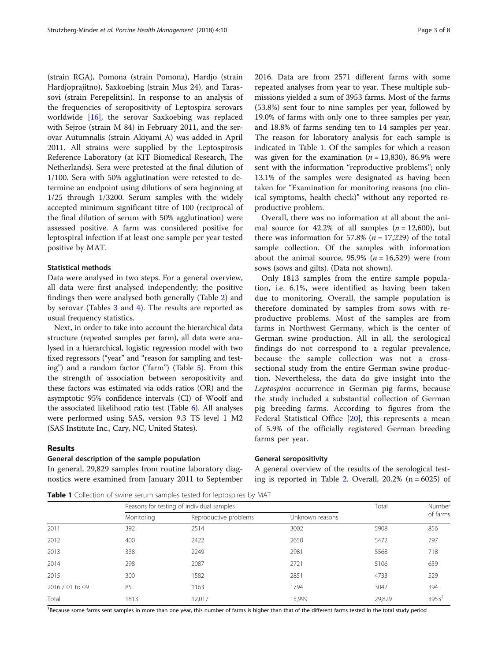(strain RGA), Pomona (strain Pomona), Hardjo (strain Hardjoprajitno), Saxkoebing (strain Mus 24), and Tarassovi (strain Perepelitsin). In response to an analysis of the frequencies of seropositivity of Leptospira serovars worldwide [\[16\]](#page-7-0), the serovar Saxkoebing was replaced with Sejroe (strain M 84) in February 2011, and the serovar Autumnalis (strain Akiyami A) was added in April 2011. All strains were supplied by the Leptospirosis Reference Laboratory (at KIT Biomedical Research, The Netherlands). Sera were pretested at the final dilution of 1/100. Sera with 50% agglutination were retested to determine an endpoint using dilutions of sera beginning at 1/25 through 1/3200. Serum samples with the widely accepted minimum significant titre of 100 (reciprocal of the final dilution of serum with 50% agglutination) were assessed positive. A farm was considered positive for leptospiral infection if at least one sample per year tested positive by MAT.

#### Statistical methods

Data were analysed in two steps. For a general overview, all data were first analysed independently; the positive findings then were analysed both generally (Table [2](#page-3-0)) and by serovar (Tables [3](#page-3-0) and [4](#page-4-0)). The results are reported as usual frequency statistics.

Next, in order to take into account the hierarchical data structure (repeated samples per farm), all data were analysed in a hierarchical, logistic regression model with two fixed regressors ("year" and "reason for sampling and testing") and a random factor ("farm") (Table [5\)](#page-4-0). From this the strength of association between seropositivity and these factors was estimated via odds ratios (OR) and the asymptotic 95% confidence intervals (CI) of Woolf and the associated likelihood ratio test (Table [6\)](#page-5-0). All analyses were performed using SAS, version 9.3 TS level 1 M2 (SAS Institute Inc., Cary, NC, United States).

## Results

#### General description of the sample population

In general, 29,829 samples from routine laboratory diagnostics were examined from January 2011 to September 2016. Data are from 2571 different farms with some repeated analyses from year to year. These multiple submissions yielded a sum of 3953 farms. Most of the farms (53.8%) sent four to nine samples per year, followed by 19.0% of farms with only one to three samples per year, and 18.8% of farms sending ten to 14 samples per year. The reason for laboratory analysis for each sample is indicated in Table 1. Of the samples for which a reason was given for the examination ( $n = 13,830$ ), 86.9% were sent with the information "reproductive problems"; only 13.1% of the samples were designated as having been taken for "Examination for monitoring reasons (no clinical symptoms, health check)" without any reported reproductive problem.

Overall, there was no information at all about the animal source for 42.2% of all samples  $(n = 12,600)$ , but there was information for 57.8% ( $n = 17,229$ ) of the total sample collection. Of the samples with information about the animal source, 95.9% ( $n = 16,529$ ) were from sows (sows and gilts). (Data not shown).

Only 1813 samples from the entire sample population, i.e. 6.1%, were identified as having been taken due to monitoring. Overall, the sample population is therefore dominated by samples from sows with reproductive problems. Most of the samples are from farms in Northwest Germany, which is the center of German swine production. All in all, the serological findings do not correspond to a regular prevalence, because the sample collection was not a crosssectional study from the entire German swine production. Nevertheless, the data do give insight into the Leptospira occurrence in German pig farms, because the study included a substantial collection of German pig breeding farms. According to figures from the Federal Statistical Office [\[20](#page-7-0)], this represents a mean of 5.9% of the officially registered German breeding farms per year.

#### General seropositivity

A general overview of the results of the serological test-ing is reported in Table [2.](#page-3-0) Overall,  $20.2\%$  (n = 6025) of

Table 1 Collection of swine serum samples tested for leptospires by MAT

|                 |            | Reasons for testing of individual samples |                 |        | Number              |
|-----------------|------------|-------------------------------------------|-----------------|--------|---------------------|
|                 | Monitoring | Reproductive problems                     | Unknown reasons |        | of farms            |
| 2011            | 392        | 2514                                      | 3002            | 5908   | 856                 |
| 2012            | 400        | 2422                                      | 2650            | 5472   | 797                 |
| 2013            | 338        | 2249                                      | 2981            | 5568   | 718                 |
| 2014            | 298        | 2087                                      | 2721            | 5106   | 659                 |
| 2015            | 300        | 1582                                      | 2851            | 4733   | 529                 |
| 2016 / 01 to 09 | 85         | 1163                                      | 1794            | 3042   | 394                 |
| Total           | 1813       | 12.017                                    | 15,999          | 29,829 | $3953$ <sup>1</sup> |

Because some farms sent samples in more than one year, this number of farms is higher than that of the different farms tested in the total study period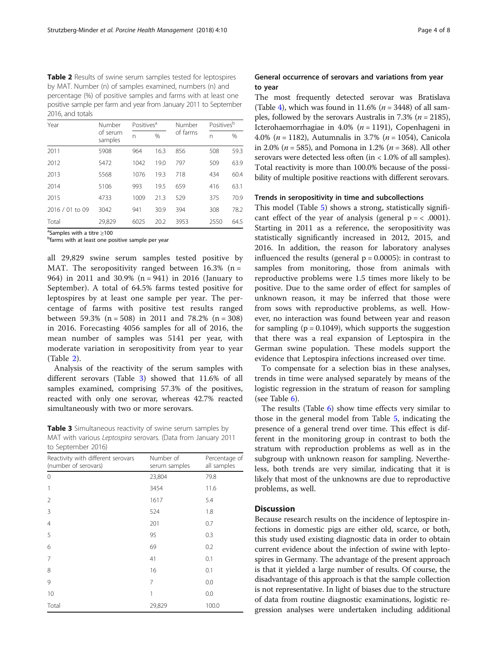<span id="page-3-0"></span>Table 2 Results of swine serum samples tested for leptospires by MAT. Number (n) of samples examined, numbers (n) and percentage (%) of positive samples and farms with at least one positive sample per farm and year from January 2011 to September 2016, and totals

| Year            | Number              | Positives <sup>a</sup> |      | Number   | Positives <sup>b</sup> |      |
|-----------------|---------------------|------------------------|------|----------|------------------------|------|
|                 | of serum<br>samples | n                      | $\%$ | of farms | n                      | $\%$ |
| 2011            | 5908                | 964                    | 16.3 | 856      | 508                    | 59.3 |
| 2012            | 5472                | 1042                   | 19.0 | 797      | 509                    | 63.9 |
| 2013            | 5568                | 1076                   | 19.3 | 718      | 434                    | 60.4 |
| 2014            | 5106                | 993                    | 19.5 | 659      | 416                    | 63.1 |
| 2015            | 4733                | 1009                   | 21.3 | 529      | 375                    | 70.9 |
| 2016 / 01 to 09 | 3042                | 941                    | 30.9 | 394      | 308                    | 78.2 |
| Total           | 29,829              | 6025                   | 20.2 | 3953     | 2550                   | 64.5 |

<sup>a</sup>Samples with a titre ≥100<br><sup>b</sup>farms with at least and no

<sup>b</sup>farms with at least one positive sample per year

all 29,829 swine serum samples tested positive by MAT. The seropositivity ranged between  $16.3\%$  (n = 964) in 2011 and 30.9% (n = 941) in 2016 (January to September). A total of 64.5% farms tested positive for leptospires by at least one sample per year. The percentage of farms with positive test results ranged between 59.3% ( $n = 508$ ) in 2011 and 78.2% ( $n = 308$ ) in 2016. Forecasting 4056 samples for all of 2016, the mean number of samples was 5141 per year, with moderate variation in seropositivity from year to year (Table 2).

Analysis of the reactivity of the serum samples with different serovars (Table 3) showed that 11.6% of all samples examined, comprising 57.3% of the positives, reacted with only one serovar, whereas 42.7% reacted simultaneously with two or more serovars.

Table 3 Simultaneous reactivity of swine serum samples by MAT with various Leptospira serovars. (Data from January 2011 to September 2016)

| Reactivity with different serovars<br>(number of serovars) | Number of<br>serum samples | Percentage of<br>all samples |  |
|------------------------------------------------------------|----------------------------|------------------------------|--|
| 0                                                          | 23,804                     | 79.8                         |  |
| 1                                                          | 3454                       | 11.6                         |  |
| 2                                                          | 1617                       | 5.4                          |  |
| 3                                                          | 524                        | 1.8                          |  |
| $\overline{4}$                                             | 201                        | 0.7                          |  |
| 5                                                          | 95                         | 0.3                          |  |
| 6                                                          | 69                         | 0.2                          |  |
| 7                                                          | 41                         | 0.1                          |  |
| 8                                                          | 16                         | 0.1                          |  |
| 9                                                          | 7                          | 0.0                          |  |
| 10                                                         | 1                          | 0.0                          |  |
| Total                                                      | 29,829                     | 100.0                        |  |

# General occurrence of serovars and variations from year to year

The most frequently detected serovar was Bratislava (Table [4](#page-4-0)), which was found in 11.6% ( $n = 3448$ ) of all samples, followed by the serovars Australis in 7.3% ( $n = 2185$ ), Icterohaemorrhagiae in 4.0% ( $n = 1191$ ), Copenhageni in 4.0% ( $n = 1182$ ), Autumnalis in 3.7% ( $n = 1054$ ), Canicola in 2.0% ( $n = 585$ ), and Pomona in 1.2% ( $n = 368$ ). All other serovars were detected less often (in < 1.0% of all samples). Total reactivity is more than 100.0% because of the possibility of multiple positive reactions with different serovars.

#### Trends in seropositivity in time and subcollections

This model (Table [5](#page-4-0)) shows a strong, statistically significant effect of the year of analysis (general  $p = < .0001$ ). Starting in 2011 as a reference, the seropositivity was statistically significantly increased in 2012, 2015, and 2016. In addition, the reason for laboratory analyses influenced the results (general  $p = 0.0005$ ): in contrast to samples from monitoring, those from animals with reproductive problems were 1.5 times more likely to be positive. Due to the same order of effect for samples of unknown reason, it may be inferred that those were from sows with reproductive problems, as well. However, no interaction was found between year and reason for sampling  $(p = 0.1049)$ , which supports the suggestion that there was a real expansion of Leptospira in the German swine population. These models support the evidence that Leptospira infections increased over time.

To compensate for a selection bias in these analyses, trends in time were analysed separately by means of the logistic regression in the stratum of reason for sampling (see Table [6\)](#page-5-0).

The results (Table  $6$ ) show time effects very similar to those in the general model from Table [5,](#page-4-0) indicating the presence of a general trend over time. This effect is different in the monitoring group in contrast to both the stratum with reproduction problems as well as in the subgroup with unknown reason for sampling. Nevertheless, both trends are very similar, indicating that it is likely that most of the unknowns are due to reproductive problems, as well.

#### **Discussion**

Because research results on the incidence of leptospire infections in domestic pigs are either old, scarce, or both, this study used existing diagnostic data in order to obtain current evidence about the infection of swine with leptospires in Germany. The advantage of the present approach is that it yielded a large number of results. Of course, the disadvantage of this approach is that the sample collection is not representative. In light of biases due to the structure of data from routine diagnostic examinations, logistic regression analyses were undertaken including additional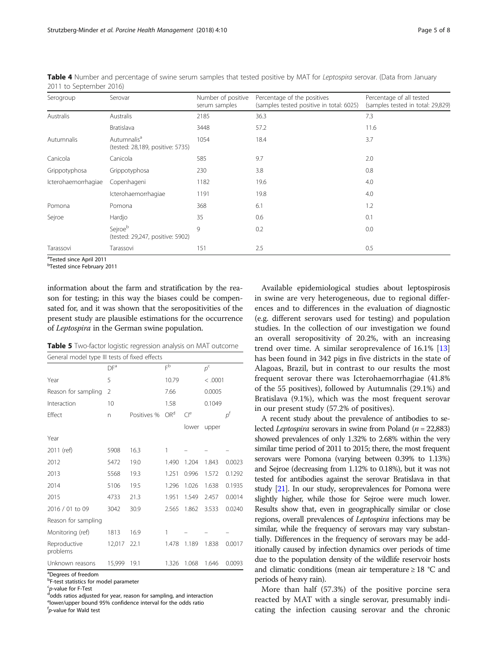| Serogroup           | Serovar                                                     | Number of positive<br>serum samples | Percentage of the positives<br>(samples tested positive in total: 6025) | Percentage of all tested<br>(samples tested in total: 29,829) |
|---------------------|-------------------------------------------------------------|-------------------------------------|-------------------------------------------------------------------------|---------------------------------------------------------------|
| Australis           | <b>Australis</b>                                            | 2185                                | 36.3                                                                    | 7.3                                                           |
|                     | Bratislava                                                  | 3448                                | 57.2                                                                    | 11.6                                                          |
| Autumnalis          | Autumnalis <sup>a</sup><br>(tested: 28,189, positive: 5735) | 1054                                | 18.4                                                                    | 3.7                                                           |
| Canicola            | Canicola                                                    | 585                                 | 9.7                                                                     | 2.0                                                           |
| Grippotyphosa       | Grippotyphosa                                               | 230                                 | 3.8                                                                     | 0.8                                                           |
| Icterohaemorrhagiae | Copenhageni                                                 | 1182                                | 19.6                                                                    | 4.0                                                           |
|                     | Icterohaemorrhagiae                                         | 1191                                | 19.8                                                                    | 4.0                                                           |
| Pomona              | Pomona                                                      | 368                                 | 6.1                                                                     | 1.2                                                           |
| Sejroe              | Hardjo                                                      | 35                                  | 0.6                                                                     | 0.1                                                           |
|                     | Sejroeb<br>(tested: 29,247, positive: 5902)                 | 9                                   | 0.2                                                                     | 0.0                                                           |
| Tarassovi           | Tarassovi                                                   | 151                                 | 2.5                                                                     | 0.5                                                           |

<span id="page-4-0"></span>Table 4 Number and percentage of swine serum samples that tested positive by MAT for Leptospira serovar. (Data from January 2011 to September 2016)

<sup>a</sup>Tested since April 2011

b Tested since February 2011

information about the farm and stratification by the reason for testing; in this way the biases could be compensated for, and it was shown that the seropositivities of the present study are plausible estimations for the occurrence of Leptospira in the German swine population.

Table 5 Two-factor logistic regression analysis on MAT outcome

| General model type III tests of fixed effects |                |             |                 |                 |             |                |
|-----------------------------------------------|----------------|-------------|-----------------|-----------------|-------------|----------------|
|                                               | DFª            |             | $F^{\rm b}$     |                 | $p^{\rm c}$ |                |
| Year                                          | 5              |             | 10.79           |                 | < .0001     |                |
| Reason for sampling                           | $\mathfrak{D}$ |             | 7.66            |                 | 0.0005      |                |
| Interaction                                   | 10             |             | 1.58            |                 | 0.1049      |                |
| Effect                                        | n              | Positives % | OR <sup>d</sup> | Cl <sup>e</sup> |             | $\rho^{\rm f}$ |
|                                               |                |             |                 | lower           | upper       |                |
| Year                                          |                |             |                 |                 |             |                |
| 2011 (ref)                                    | 5908           | 16.3        | 1               |                 |             |                |
| 2012                                          | 5472           | 19.0        | 1.490           | 1.204           | 1.843       | 0.0023         |
| 2013                                          | 5568           | 19.3        | 1.251           | 0.996           | 1.572       | 0.1292         |
| 2014                                          | 5106           | 19.5        | 1.296           | 1.026           | 1.638       | 0.1935         |
| 2015                                          | 4733           | 21.3        | 1.951           | 1.549           | 2.457       | 0.0014         |
| 2016 / 01 to 09                               | 3042           | 30.9        | 2.565           | 1.862           | 3.533       | 0.0240         |
| Reason for sampling                           |                |             |                 |                 |             |                |
| Monitoring (ref)                              | 1813           | 16.9        | 1               |                 |             |                |
| Reproductive<br>problems                      | 12,017         | 22.1        | 1.478           | 1.189           | 1.838       | 0.0017         |
| Unknown reasons                               | 15,999         | 19.1        | 1.326           | 1.068           | 1.646       | 0.0093         |

<sup>a</sup>Degrees of freedom

<sup>b</sup>F-test statistics for model parameter

<sup>c</sup>p-value for F-Test<br><sup>d</sup>odds ratios adius

dodds ratios adjusted for year, reason for sampling, and interaction elower/upper bound 95% confidence interval for the odds ratio f p-value for Wald test

Available epidemiological studies about leptospirosis in swine are very heterogeneous, due to regional differences and to differences in the evaluation of diagnostic (e.g. different serovars used for testing) and population studies. In the collection of our investigation we found an overall seropositivity of 20.2%, with an increasing trend over time. A similar seroprevalence of 16.1% [[13](#page-7-0)] has been found in 342 pigs in five districts in the state of Alagoas, Brazil, but in contrast to our results the most frequent serovar there was Icterohaemorrhagiae (41.8% of the 55 positives), followed by Autumnalis (29.1%) and Bratislava (9.1%), which was the most frequent serovar in our present study (57.2% of positives).

A recent study about the prevalence of antibodies to selected *Leptospira* serovars in swine from Poland ( $n = 22,883$ ) showed prevalences of only 1.32% to 2.68% within the very similar time period of 2011 to 2015; there, the most frequent serovars were Pomona (varying between 0.39% to 1.13%) and Sejroe (decreasing from 1.12% to 0.18%), but it was not tested for antibodies against the serovar Bratislava in that study [\[21](#page-7-0)]. In our study, seroprevalences for Pomona were slightly higher, while those for Sejroe were much lower. Results show that, even in geographically similar or close regions, overall prevalences of Leptospira infections may be similar, while the frequency of serovars may vary substantially. Differences in the frequency of serovars may be additionally caused by infection dynamics over periods of time due to the population density of the wildlife reservoir hosts and climatic conditions (mean air temperature ≥ 18 °C and periods of heavy rain).

More than half (57.3%) of the positive porcine sera reacted by MAT with a single serovar, presumably indicating the infection causing serovar and the chronic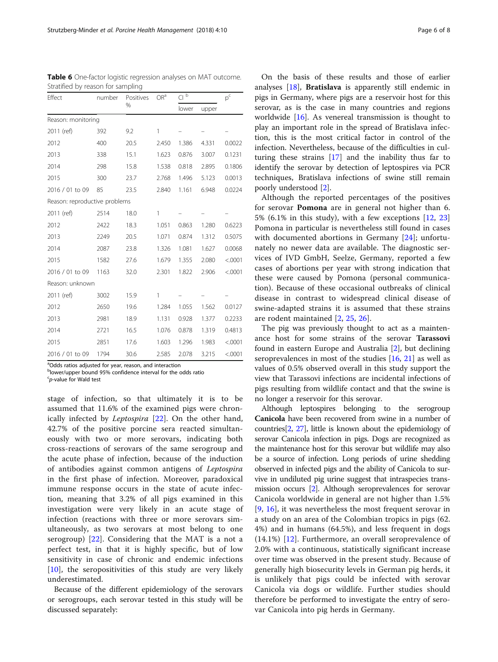| Effect                        | number | Positives<br>% | OR <sup>a</sup> | Cl <sub>p</sub> |       | $p^{\rm c}$ |  |
|-------------------------------|--------|----------------|-----------------|-----------------|-------|-------------|--|
|                               |        |                |                 | lower           | upper |             |  |
| Reason: monitoring            |        |                |                 |                 |       |             |  |
| 2011 (ref)                    | 392    | 9.2            | 1               |                 |       |             |  |
| 2012                          | 400    | 20.5           | 2.450           | 1.386           | 4.331 | 0.0022      |  |
| 2013                          | 338    | 15.1           | 1.623           | 0.876           | 3.007 | 0.1231      |  |
| 2014                          | 298    | 15.8           | 1.538           | 0.818           | 2.895 | 0.1806      |  |
| 2015                          | 300    | 23.7           | 2.768           | 1.496           | 5.123 | 0.0013      |  |
| 2016 / 01 to 09               | 85     | 23.5           | 2.840           | 1.161           | 6.948 | 0.0224      |  |
| Reason: reproductive problems |        |                |                 |                 |       |             |  |
| 2011 (ref)                    | 2514   | 18.0           | 1               |                 |       |             |  |
| 2012                          | 2422   | 18.3           | 1.051           | 0.863           | 1.280 | 0.6223      |  |
| 2013                          | 2249   | 20.5           | 1.071           | 0.874           | 1.312 | 0.5075      |  |
| 2014                          | 2087   | 23.8           | 1.326           | 1.081           | 1.627 | 0.0068      |  |
| 2015                          | 1582   | 27.6           | 1.679           | 1.355           | 2.080 | < .0001     |  |
| 2016 / 01 to 09               | 1163   | 32.0           | 2.301           | 1.822           | 2.906 | < .0001     |  |
| Reason: unknown               |        |                |                 |                 |       |             |  |
| 2011 (ref)                    | 3002   | 15.9           | 1               |                 |       |             |  |
| 2012                          | 2650   | 19.6           | 1.284           | 1.055           | 1.562 | 0.0127      |  |
| 2013                          | 2981   | 18.9           | 1.131           | 0.928           | 1.377 | 0.2233      |  |
| 2014                          | 2721   | 16.5           | 1.076           | 0.878           | 1.319 | 0.4813      |  |
| 2015                          | 2851   | 17.6           | 1.603           | 1.296           | 1.983 | < .0001     |  |
| 2016 / 01 to 09               | 1794   | 30.6           | 2.585           | 2.078           | 3.215 | < .0001     |  |

<span id="page-5-0"></span>Table 6 One-factor logistic regression analyses on MAT outcome. Stratified by reason for sampling

<sup>a</sup>Odds ratios adjusted for year, reason, and interaction

<sup>b</sup>lower/upper bound 95% confidence interval for the odds ratio

 $\epsilon$ p-value for Wald test

stage of infection, so that ultimately it is to be assumed that 11.6% of the examined pigs were chronically infected by Leptospira [[22\]](#page-7-0). On the other hand, 42.7% of the positive porcine sera reacted simultaneously with two or more serovars, indicating both cross-reactions of serovars of the same serogroup and the acute phase of infection, because of the induction of antibodies against common antigens of Leptospira in the first phase of infection. Moreover, paradoxical immune response occurs in the state of acute infection, meaning that 3.2% of all pigs examined in this investigation were very likely in an acute stage of infection (reactions with three or more serovars simultaneously, as two serovars at most belong to one serogroup) [\[22](#page-7-0)]. Considering that the MAT is a not a perfect test, in that it is highly specific, but of low sensitivity in case of chronic and endemic infections [[10\]](#page-7-0), the seropositivities of this study are very likely underestimated.

Because of the different epidemiology of the serovars or serogroups, each serovar tested in this study will be discussed separately:

On the basis of these results and those of earlier analyses [[18\]](#page-7-0), Bratislava is apparently still endemic in pigs in Germany, where pigs are a reservoir host for this serovar, as is the case in many countries and regions worldwide [[16](#page-7-0)]. As venereal transmission is thought to play an important role in the spread of Bratislava infection, this is the most critical factor in control of the infection. Nevertheless, because of the difficulties in culturing these strains [\[17](#page-7-0)] and the inability thus far to identify the serovar by detection of leptospires via PCR techniques, Bratislava infections of swine still remain poorly understood [\[2](#page-7-0)].

Although the reported percentages of the positives for serovar Pomona are in general not higher than 6. 5% (6.1% in this study), with a few exceptions  $[12, 23]$  $[12, 23]$  $[12, 23]$  $[12, 23]$ Pomona in particular is nevertheless still found in cases with documented abortions in Germany [[24\]](#page-7-0); unfortunately no newer data are available. The diagnostic services of IVD GmbH, Seelze, Germany, reported a few cases of abortions per year with strong indication that these were caused by Pomona (personal communication). Because of these occasional outbreaks of clinical disease in contrast to widespread clinical disease of swine-adapted strains it is assumed that these strains are rodent maintained [[2,](#page-7-0) [25,](#page-7-0) [26](#page-7-0)].

The pig was previously thought to act as a maintenance host for some strains of the serovar Tarassovi found in eastern Europe and Australia [[2\]](#page-7-0), but declining seroprevalences in most of the studies [\[16,](#page-7-0) [21](#page-7-0)] as well as values of 0.5% observed overall in this study support the view that Tarassovi infections are incidental infections of pigs resulting from wildlife contact and that the swine is no longer a reservoir for this serovar.

Although leptospires belonging to the serogroup Canicola have been recovered from swine in a number of countries[[2,](#page-7-0) [27\]](#page-7-0), little is known about the epidemiology of serovar Canicola infection in pigs. Dogs are recognized as the maintenance host for this serovar but wildlife may also be a source of infection. Long periods of urine shedding observed in infected pigs and the ability of Canicola to survive in undiluted pig urine suggest that intraspecies transmission occurs [[2](#page-7-0)]. Although seroprevalences for serovar Canicola worldwide in general are not higher than 1.5% [[9](#page-7-0), [16](#page-7-0)], it was nevertheless the most frequent serovar in a study on an area of the Colombian tropics in pigs (62. 4%) and in humans (64.5%), and less frequent in dogs (14.1%) [\[12](#page-7-0)]. Furthermore, an overall seroprevalence of 2.0% with a continuous, statistically significant increase over time was observed in the present study. Because of generally high biosecurity levels in German pig herds, it is unlikely that pigs could be infected with serovar Canicola via dogs or wildlife. Further studies should therefore be performed to investigate the entry of serovar Canicola into pig herds in Germany.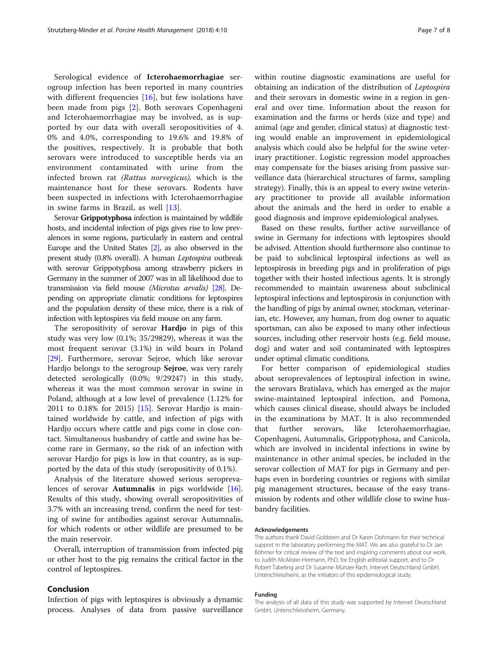Serological evidence of Icterohaemorrhagiae serogroup infection has been reported in many countries with different frequencies  $[16]$  $[16]$ , but few isolations have been made from pigs [[2\]](#page-7-0). Both serovars Copenhageni and Icterohaemorrhagiae may be involved, as is supported by our data with overall seropositivities of 4. 0% and 4.0%, corresponding to 19.6% and 19.8% of the positives, respectively. It is probable that both serovars were introduced to susceptible herds via an environment contaminated with urine from the infected brown rat (Rattus norvegicus), which is the maintenance host for these serovars. Rodents have been suspected in infections with Icterohaemorrhagiae in swine farms in Brazil, as well [[13\]](#page-7-0).

Serovar Grippotyphosa infection is maintained by wildlife hosts, and incidental infection of pigs gives rise to low prevalences in some regions, particularly in eastern and central Europe and the United States [\[2\]](#page-7-0), as also observed in the present study (0.8% overall). A human Leptospira outbreak with serovar Grippotyphosa among strawberry pickers in Germany in the summer of 2007 was in all likelihood due to transmission via field mouse (Microtus arvalis) [[28](#page-7-0)]. Depending on appropriate climatic conditions for leptospires and the population density of these mice, there is a risk of infection with leptospires via field mouse on any farm.

The seropositivity of serovar **Hardjo** in pigs of this study was very low (0.1%; 35/29829), whereas it was the most frequent serovar (3.1%) in wild boars in Poland [[29\]](#page-7-0). Furthermore, serovar Sejroe, which like serovar Hardjo belongs to the serogroup Sejroe, was very rarely detected serologically (0.0%; 9/29247) in this study, whereas it was the most common serovar in swine in Poland, although at a low level of prevalence (1.12% for 2011 to 0.18% for 2015) [\[15\]](#page-7-0). Serovar Hardjo is maintained worldwide by cattle, and infection of pigs with Hardjo occurs where cattle and pigs come in close contact. Simultaneous husbandry of cattle and swine has become rare in Germany, so the risk of an infection with serovar Hardjo for pigs is low in that country, as is supported by the data of this study (seropositivity of 0.1%).

Analysis of the literature showed serious seroprevalences of serovar Autumnalis in pigs worldwide [\[16](#page-7-0)]. Results of this study, showing overall seropositivities of 3.7% with an increasing trend, confirm the need for testing of swine for antibodies against serovar Autumnalis, for which rodents or other wildlife are presumed to be the main reservoir.

Overall, interruption of transmission from infected pig or other host to the pig remains the critical factor in the control of leptospires.

## Conclusion

Infection of pigs with leptospires is obviously a dynamic process. Analyses of data from passive surveillance within routine diagnostic examinations are useful for obtaining an indication of the distribution of Leptospira and their serovars in domestic swine in a region in general and over time. Information about the reason for examination and the farms or herds (size and type) and animal (age and gender, clinical status) at diagnostic testing would enable an improvement in epidemiological

analysis which could also be helpful for the swine veterinary practitioner. Logistic regression model approaches may compensate for the biases arising from passive surveillance data (hierarchical structures of farms, sampling strategy). Finally, this is an appeal to every swine veterinary practitioner to provide all available information about the animals and the herd in order to enable a good diagnosis and improve epidemiological analyses.

Based on these results, further active surveillance of swine in Germany for infections with leptospires should be advised. Attention should furthermore also continue to be paid to subclinical leptospiral infections as well as leptospirosis in breeding pigs and in proliferation of pigs together with their hosted infectious agents. It is strongly recommended to maintain awareness about subclinical leptospiral infections and leptospirosis in conjunction with the handling of pigs by animal owner, stockman, veterinarian, etc. However, any human, from dog owner to aquatic sportsman, can also be exposed to many other infectious sources, including other reservoir hosts (e.g. field mouse, dog) and water and soil contaminated with leptospires under optimal climatic conditions.

For better comparison of epidemiological studies about seroprevalences of leptospiral infection in swine, the serovars Bratislava, which has emerged as the major swine-maintained leptospiral infection, and Pomona, which causes clinical disease, should always be included in the examinations by MAT. It is also recommended that further serovars, like Icterohaemorrhagiae, Copenhageni, Autumnalis, Grippotyphosa, and Canicola, which are involved in incidental infections in swine by maintenance in other animal species, be included in the serovar collection of MAT for pigs in Germany and perhaps even in bordering countries or regions with similar pig management structures, because of the easy transmission by rodents and other wildlife close to swine husbandry facilities.

#### Acknowledgements

The authors thank David Goldstein and Dr Karen Dohmann for their technical support in the laboratory performing the MAT. We are also grateful to Dr Jan Böhmer for critical review of the text and inspiring comments about our work, to Judith McAlister-Hermann, PhD, for English editorial support, and to Dr Robert Tabeling and Dr Susanne Münzer-Rach, Intervet Deutschland GmbH, Unterschleissheim, as the initiators of this epidemiological study.

#### Funding

The analysis of all data of this study was supported by Intervet Deutschland GmbH, Unterschleissheim, Germany.